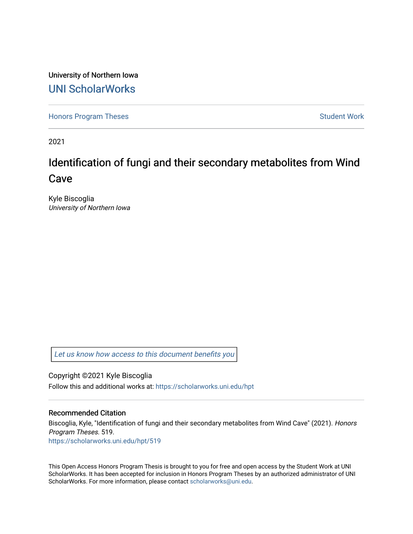University of Northern Iowa [UNI ScholarWorks](https://scholarworks.uni.edu/) 

[Honors Program Theses](https://scholarworks.uni.edu/hpt) **Student Work** Student Work

2021

# Identification of fungi and their secondary metabolites from Wind Cave

Kyle Biscoglia University of Northern Iowa

[Let us know how access to this document benefits you](https://scholarworks.uni.edu/feedback_form.html) 

Copyright ©2021 Kyle Biscoglia Follow this and additional works at: [https://scholarworks.uni.edu/hpt](https://scholarworks.uni.edu/hpt?utm_source=scholarworks.uni.edu%2Fhpt%2F519&utm_medium=PDF&utm_campaign=PDFCoverPages) 

## Recommended Citation

Biscoglia, Kyle, "Identification of fungi and their secondary metabolites from Wind Cave" (2021). Honors Program Theses. 519. [https://scholarworks.uni.edu/hpt/519](https://scholarworks.uni.edu/hpt/519?utm_source=scholarworks.uni.edu%2Fhpt%2F519&utm_medium=PDF&utm_campaign=PDFCoverPages) 

This Open Access Honors Program Thesis is brought to you for free and open access by the Student Work at UNI ScholarWorks. It has been accepted for inclusion in Honors Program Theses by an authorized administrator of UNI ScholarWorks. For more information, please contact [scholarworks@uni.edu](mailto:scholarworks@uni.edu).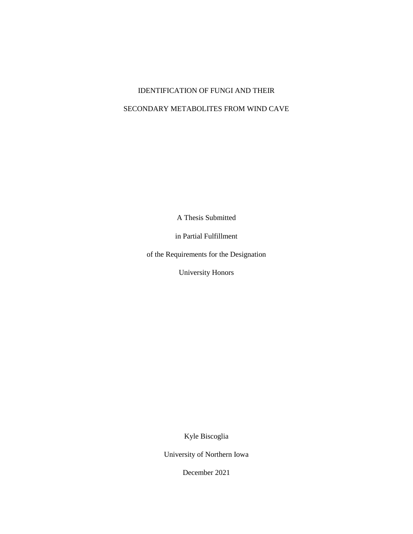## IDENTIFICATION OF FUNGI AND THEIR

# SECONDARY METABOLITES FROM WIND CAVE

A Thesis Submitted

in Partial Fulfillment

of the Requirements for the Designation

University Honors

Kyle Biscoglia

University of Northern Iowa

December 2021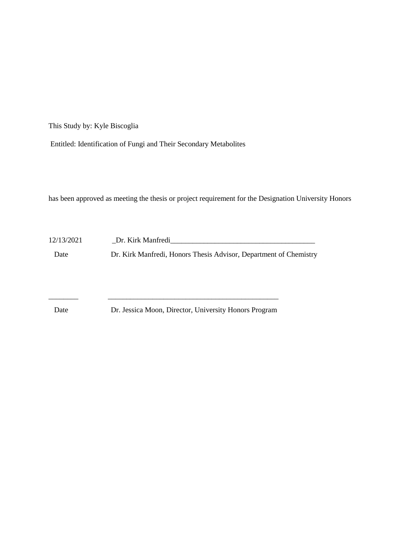This Study by: Kyle Biscoglia

Entitled: Identification of Fungi and Their Secondary Metabolites

has been approved as meeting the thesis or project requirement for the Designation University Honors

12/13/2021 \_Dr. Kirk Manfredi\_\_\_\_\_\_\_\_\_\_\_\_\_\_\_\_\_\_\_\_\_\_\_\_\_\_\_\_\_\_\_\_\_\_\_\_\_\_\_ Date Dr. Kirk Manfredi, Honors Thesis Advisor, Department of Chemistry

Date Dr. Jessica Moon, Director, University Honors Program

\_\_\_\_\_\_\_\_ \_\_\_\_\_\_\_\_\_\_\_\_\_\_\_\_\_\_\_\_\_\_\_\_\_\_\_\_\_\_\_\_\_\_\_\_\_\_\_\_\_\_\_\_\_\_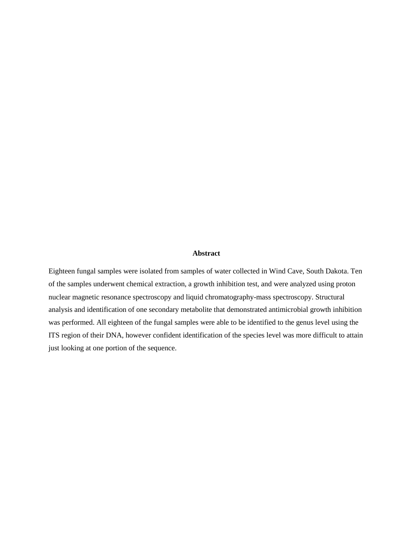#### **Abstract**

Eighteen fungal samples were isolated from samples of water collected in Wind Cave, South Dakota. Ten of the samples underwent chemical extraction, a growth inhibition test, and were analyzed using proton nuclear magnetic resonance spectroscopy and liquid chromatography-mass spectroscopy. Structural analysis and identification of one secondary metabolite that demonstrated antimicrobial growth inhibition was performed. All eighteen of the fungal samples were able to be identified to the genus level using the ITS region of their DNA, however confident identification of the species level was more difficult to attain just looking at one portion of the sequence.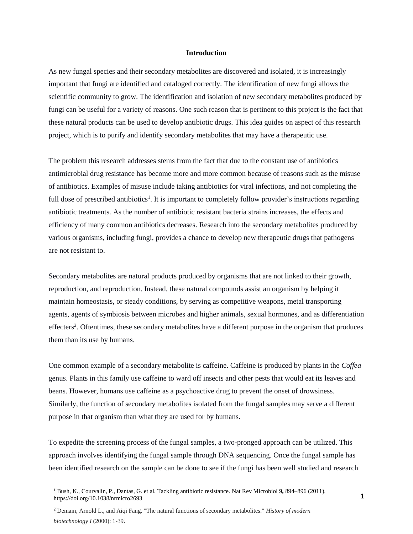#### **Introduction**

As new fungal species and their secondary metabolites are discovered and isolated, it is increasingly important that fungi are identified and cataloged correctly. The identification of new fungi allows the scientific community to grow. The identification and isolation of new secondary metabolites produced by fungi can be useful for a variety of reasons. One such reason that is pertinent to this project is the fact that these natural products can be used to develop antibiotic drugs. This idea guides on aspect of this research project, which is to purify and identify secondary metabolites that may have a therapeutic use.

The problem this research addresses stems from the fact that due to the constant use of antibiotics antimicrobial drug resistance has become more and more common because of reasons such as the misuse of antibiotics. Examples of misuse include taking antibiotics for viral infections, and not completing the full dose of prescribed antibiotics<sup>1</sup>. It is important to completely follow provider's instructions regarding antibiotic treatments. As the number of antibiotic resistant bacteria strains increases, the effects and efficiency of many common antibiotics decreases. Research into the secondary metabolites produced by various organisms, including fungi, provides a chance to develop new therapeutic drugs that pathogens are not resistant to.

Secondary metabolites are natural products produced by organisms that are not linked to their growth, reproduction, and reproduction. Instead, these natural compounds assist an organism by helping it maintain homeostasis, or steady conditions, by serving as competitive weapons, metal transporting agents, agents of symbiosis between microbes and higher animals, sexual hormones, and as differentiation effecters<sup>2</sup>. Oftentimes, these secondary metabolites have a different purpose in the organism that produces them than its use by humans.

One common example of a secondary metabolite is caffeine. Caffeine is produced by plants in the *Coffea* genus. Plants in this family use caffeine to ward off insects and other pests that would eat its leaves and beans. However, humans use caffeine as a psychoactive drug to prevent the onset of drowsiness. Similarly, the function of secondary metabolites isolated from the fungal samples may serve a different purpose in that organism than what they are used for by humans.

To expedite the screening process of the fungal samples, a two-pronged approach can be utilized. This approach involves identifying the fungal sample through DNA sequencing. Once the fungal sample has been identified research on the sample can be done to see if the fungi has been well studied and research

<sup>1</sup>Bush, K., Courvalin, P., Dantas, G. et al. Tackling antibiotic resistance. Nat Rev Microbiol **9,** 894–896 (2011). <https://doi.org/10.1038/nrmicro2693>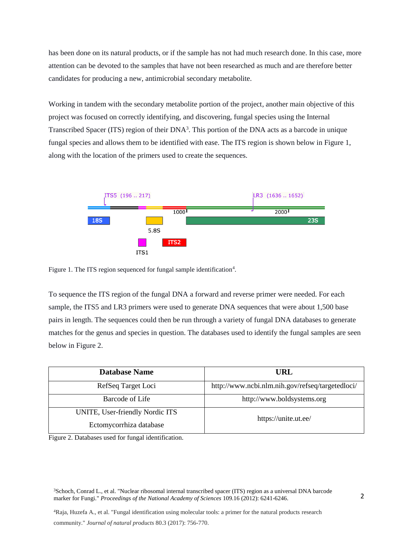has been done on its natural products, or if the sample has not had much research done. In this case, more attention can be devoted to the samples that have not been researched as much and are therefore better candidates for producing a new, antimicrobial secondary metabolite.

Working in tandem with the secondary metabolite portion of the project, another main objective of this project was focused on correctly identifying, and discovering, fungal species using the Internal Transcribed Spacer (ITS) region of their DNA<sup>3</sup>. This portion of the DNA acts as a barcode in unique fungal species and allows them to be identified with ease. The ITS region is shown below in Figure 1, along with the location of the primers used to create the sequences.



Figure 1. The ITS region sequenced for fungal sample identification<sup>4</sup>.

To sequence the ITS region of the fungal DNA a forward and reverse primer were needed. For each sample, the ITS5 and LR3 primers were used to generate DNA sequences that were about 1,500 base pairs in length. The sequences could then be run through a variety of fungal DNA databases to generate matches for the genus and species in question. The databases used to identify the fungal samples are seen below in Figure 2.

| <b>Database Name</b>                                       | URL                                              |  |
|------------------------------------------------------------|--------------------------------------------------|--|
| RefSeq Target Loci                                         | http://www.ncbi.nlm.nih.gov/refseq/targetedloci/ |  |
| Barcode of Life                                            | http://www.boldsystems.org                       |  |
| UNITE, User-friendly Nordic ITS<br>Ectomycorrhiza database | https://unite.ut.ee/                             |  |

Figure 2. Databases used for fungal identification.

<sup>3</sup>Schoch, Conrad L., et al. "Nuclear ribosomal internal transcribed spacer (ITS) region as a universal DNA barcode marker for Fungi." *Proceedings of the National Academy of Sciences* 109.16 (2012): 6241-6246.

<sup>4</sup>Raja, Huzefa A., et al. "Fungal identification using molecular tools: a primer for the natural products research

community." *Journal of natural products* 80.3 (2017): 756-770.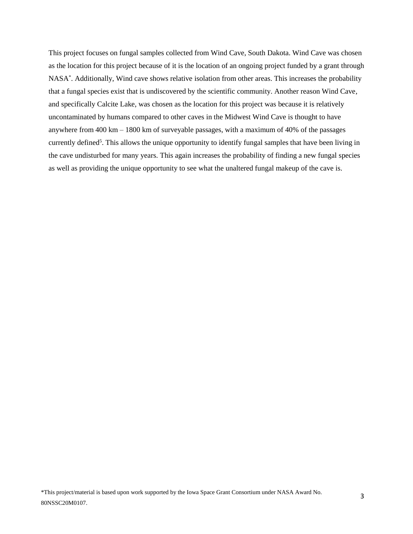This project focuses on fungal samples collected from Wind Cave, South Dakota. Wind Cave was chosen as the location for this project because of it is the location of an ongoing project funded by a grant through NASA\* . Additionally, Wind cave shows relative isolation from other areas. This increases the probability that a fungal species exist that is undiscovered by the scientific community. Another reason Wind Cave, and specifically Calcite Lake, was chosen as the location for this project was because it is relatively uncontaminated by humans compared to other caves in the Midwest Wind Cave is thought to have anywhere from 400 km – 1800 km of surveyable passages, with a maximum of 40% of the passages currently defined<sup>5</sup>. This allows the unique opportunity to identify fungal samples that have been living in the cave undisturbed for many years. This again increases the probability of finding a new fungal species as well as providing the unique opportunity to see what the unaltered fungal makeup of the cave is.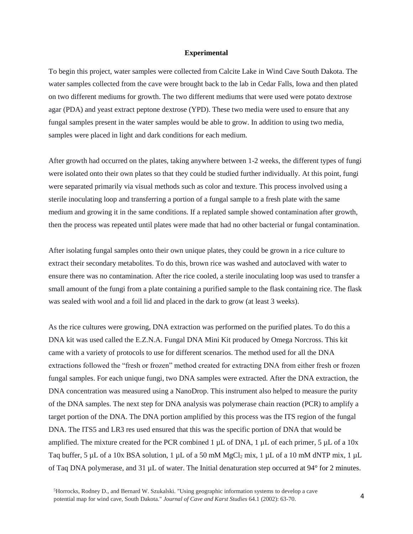#### **Experimental**

To begin this project, water samples were collected from Calcite Lake in Wind Cave South Dakota. The water samples collected from the cave were brought back to the lab in Cedar Falls, Iowa and then plated on two different mediums for growth. The two different mediums that were used were potato dextrose agar (PDA) and yeast extract peptone dextrose (YPD). These two media were used to ensure that any fungal samples present in the water samples would be able to grow. In addition to using two media, samples were placed in light and dark conditions for each medium.

After growth had occurred on the plates, taking anywhere between 1-2 weeks, the different types of fungi were isolated onto their own plates so that they could be studied further individually. At this point, fungi were separated primarily via visual methods such as color and texture. This process involved using a sterile inoculating loop and transferring a portion of a fungal sample to a fresh plate with the same medium and growing it in the same conditions. If a replated sample showed contamination after growth, then the process was repeated until plates were made that had no other bacterial or fungal contamination.

After isolating fungal samples onto their own unique plates, they could be grown in a rice culture to extract their secondary metabolites. To do this, brown rice was washed and autoclaved with water to ensure there was no contamination. After the rice cooled, a sterile inoculating loop was used to transfer a small amount of the fungi from a plate containing a purified sample to the flask containing rice. The flask was sealed with wool and a foil lid and placed in the dark to grow (at least 3 weeks).

As the rice cultures were growing, DNA extraction was performed on the purified plates. To do this a DNA kit was used called the E.Z.N.A. Fungal DNA Mini Kit produced by Omega Norcross. This kit came with a variety of protocols to use for different scenarios. The method used for all the DNA extractions followed the "fresh or frozen" method created for extracting DNA from either fresh or frozen fungal samples. For each unique fungi, two DNA samples were extracted. After the DNA extraction, the DNA concentration was measured using a NanoDrop. This instrument also helped to measure the purity of the DNA samples. The next step for DNA analysis was polymerase chain reaction (PCR) to amplify a target portion of the DNA. The DNA portion amplified by this process was the ITS region of the fungal DNA. The ITS5 and LR3 res used ensured that this was the specific portion of DNA that would be amplified. The mixture created for the PCR combined 1  $\mu$ L of DNA, 1  $\mu$ L of each primer, 5  $\mu$ L of a 10x Taq buffer, 5 µL of a 10x BSA solution, 1 µL of a 50 mM MgCl<sub>2</sub> mix, 1 µL of a 10 mM dNTP mix, 1 µL of Taq DNA polymerase, and 31 µL of water. The Initial denaturation step occurred at 94° for 2 minutes.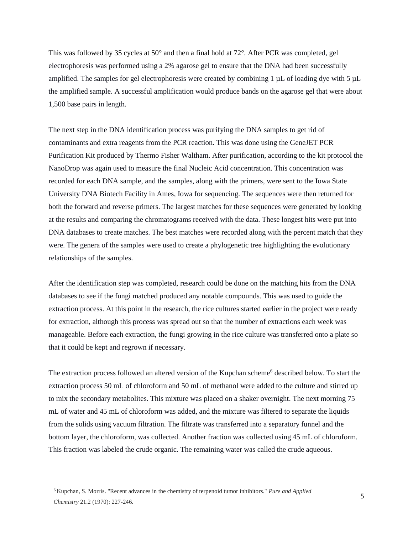This was followed by 35 cycles at  $50^{\circ}$  and then a final hold at  $72^{\circ}$ . After PCR was completed, gel electrophoresis was performed using a 2% agarose gel to ensure that the DNA had been successfully amplified. The samples for gel electrophoresis were created by combining  $1 \mu L$  of loading dye with  $5 \mu L$ the amplified sample. A successful amplification would produce bands on the agarose gel that were about 1,500 base pairs in length.

The next step in the DNA identification process was purifying the DNA samples to get rid of contaminants and extra reagents from the PCR reaction. This was done using the GeneJET PCR Purification Kit produced by Thermo Fisher Waltham. After purification, according to the kit protocol the NanoDrop was again used to measure the final Nucleic Acid concentration. This concentration was recorded for each DNA sample, and the samples, along with the primers, were sent to the Iowa State University DNA Biotech Facility in Ames, Iowa for sequencing. The sequences were then returned for both the forward and reverse primers. The largest matches for these sequences were generated by looking at the results and comparing the chromatograms received with the data. These longest hits were put into DNA databases to create matches. The best matches were recorded along with the percent match that they were. The genera of the samples were used to create a phylogenetic tree highlighting the evolutionary relationships of the samples.

After the identification step was completed, research could be done on the matching hits from the DNA databases to see if the fungi matched produced any notable compounds. This was used to guide the extraction process. At this point in the research, the rice cultures started earlier in the project were ready for extraction, although this process was spread out so that the number of extractions each week was manageable. Before each extraction, the fungi growing in the rice culture was transferred onto a plate so that it could be kept and regrown if necessary.

The extraction process followed an altered version of the Kupchan scheme<sup>6</sup> described below. To start the extraction process 50 mL of chloroform and 50 mL of methanol were added to the culture and stirred up to mix the secondary metabolites. This mixture was placed on a shaker overnight. The next morning 75 mL of water and 45 mL of chloroform was added, and the mixture was filtered to separate the liquids from the solids using vacuum filtration. The filtrate was transferred into a separatory funnel and the bottom layer, the chloroform, was collected. Another fraction was collected using 45 mL of chloroform. This fraction was labeled the crude organic. The remaining water was called the crude aqueous.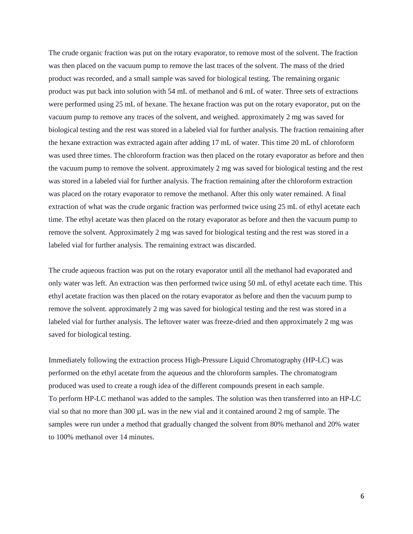The crude organic fraction was put on the rotary evaporator, to remove most of the solvent. The fraction was then placed on the vacuum pump to remove the last traces of the solvent. The mass of the dried product was recorded, and a small sample was saved for biological testing. The remaining organic product was put back into solution with 54 mL of methanol and 6 mL of water. Three sets of extractions were performed using 25 mL of hexane. The hexane fraction was put on the rotary evaporator, put on the vacuum pump to remove any traces of the solvent, and weighed. approximately 2 mg was saved for biological testing and the rest was stored in a labeled vial for further analysis. The fraction remaining after the hexane extraction was extracted again after adding 17 mL of water. This time 20 mL of chloroform was used three times. The chloroform fraction was then placed on the rotary evaporator as before and then the vacuum pump to remove the solvent. approximately 2 mg was saved for biological testing and the rest was stored in a labeled vial for further analysis. The fraction remaining after the chloroform extraction was placed on the rotary evaporator to remove the methanol. After this only water remained. A final extraction of what was the crude organic fraction was performed twice using 25 mL of ethyl acetate each time. The ethyl acetate was then placed on the rotary evaporator as before and then the vacuum pump to remove the solvent. Approximately 2 mg was saved for biological testing and the rest was stored in a labeled vial for further analysis. The remaining extract was discarded.

The crude aqueous fraction was put on the rotary evaporator until all the methanol had evaporated and only water was left. An extraction was then performed twice using 50 mL of ethyl acetate each time. This ethyl acetate fraction was then placed on the rotary evaporator as before and then the vacuum pump to remove the solvent. approximately 2 mg was saved for biological testing and the rest was stored in a labeled vial for further analysis. The leftover water was freeze-dried and then approximately 2 mg was saved for biological testing.

Immediately following the extraction process High-Pressure Liquid Chromatography (HP-LC) was performed on the ethyl acetate from the aqueous and the chloroform samples. The chromatogram produced was used to create a rough idea of the different compounds present in each sample. To perform HP-LC methanol was added to the samples. The solution was then transferred into an HP-LC vial so that no more than 300 µL was in the new vial and it contained around 2 mg of sample. The samples were run under a method that gradually changed the solvent from 80% methanol and 20% water to 100% methanol over 14 minutes.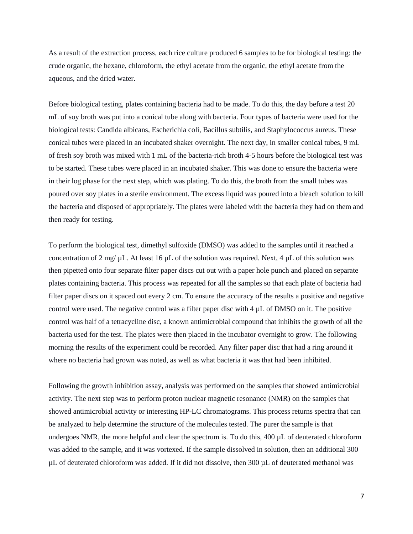As a result of the extraction process, each rice culture produced 6 samples to be for biological testing: the crude organic, the hexane, chloroform, the ethyl acetate from the organic, the ethyl acetate from the aqueous, and the dried water.

Before biological testing, plates containing bacteria had to be made. To do this, the day before a test 20 mL of soy broth was put into a conical tube along with bacteria. Four types of bacteria were used for the biological tests: Candida albicans, Escherichia coli, Bacillus subtilis, and Staphylococcus aureus. These conical tubes were placed in an incubated shaker overnight. The next day, in smaller conical tubes, 9 mL of fresh soy broth was mixed with 1 mL of the bacteria-rich broth 4-5 hours before the biological test was to be started. These tubes were placed in an incubated shaker. This was done to ensure the bacteria were in their log phase for the next step, which was plating. To do this, the broth from the small tubes was poured over soy plates in a sterile environment. The excess liquid was poured into a bleach solution to kill the bacteria and disposed of appropriately. The plates were labeled with the bacteria they had on them and then ready for testing.

To perform the biological test, dimethyl sulfoxide (DMSO) was added to the samples until it reached a concentration of 2 mg/  $\mu$ L. At least 16  $\mu$ L of the solution was required. Next, 4  $\mu$ L of this solution was then pipetted onto four separate filter paper discs cut out with a paper hole punch and placed on separate plates containing bacteria. This process was repeated for all the samples so that each plate of bacteria had filter paper discs on it spaced out every 2 cm. To ensure the accuracy of the results a positive and negative control were used. The negative control was a filter paper disc with  $4 \mu$ L of DMSO on it. The positive control was half of a tetracycline disc, a known antimicrobial compound that inhibits the growth of all the bacteria used for the test. The plates were then placed in the incubator overnight to grow. The following morning the results of the experiment could be recorded. Any filter paper disc that had a ring around it where no bacteria had grown was noted, as well as what bacteria it was that had been inhibited.

Following the growth inhibition assay, analysis was performed on the samples that showed antimicrobial activity. The next step was to perform proton nuclear magnetic resonance (NMR) on the samples that showed antimicrobial activity or interesting HP-LC chromatograms. This process returns spectra that can be analyzed to help determine the structure of the molecules tested. The purer the sample is that undergoes NMR, the more helpful and clear the spectrum is. To do this, 400 µL of deuterated chloroform was added to the sample, and it was vortexed. If the sample dissolved in solution, then an additional 300 µL of deuterated chloroform was added. If it did not dissolve, then 300 µL of deuterated methanol was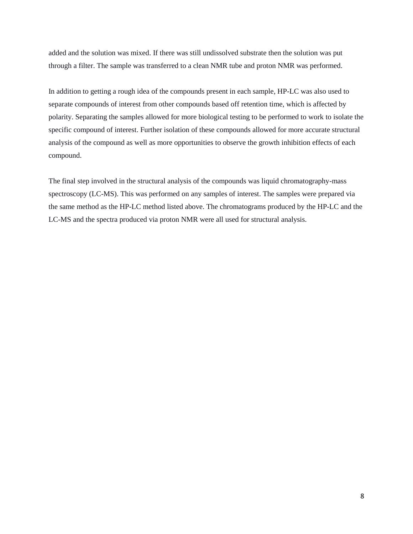added and the solution was mixed. If there was still undissolved substrate then the solution was put through a filter. The sample was transferred to a clean NMR tube and proton NMR was performed.

In addition to getting a rough idea of the compounds present in each sample, HP-LC was also used to separate compounds of interest from other compounds based off retention time, which is affected by polarity. Separating the samples allowed for more biological testing to be performed to work to isolate the specific compound of interest. Further isolation of these compounds allowed for more accurate structural analysis of the compound as well as more opportunities to observe the growth inhibition effects of each compound.

The final step involved in the structural analysis of the compounds was liquid chromatography-mass spectroscopy (LC-MS). This was performed on any samples of interest. The samples were prepared via the same method as the HP-LC method listed above. The chromatograms produced by the HP-LC and the LC-MS and the spectra produced via proton NMR were all used for structural analysis.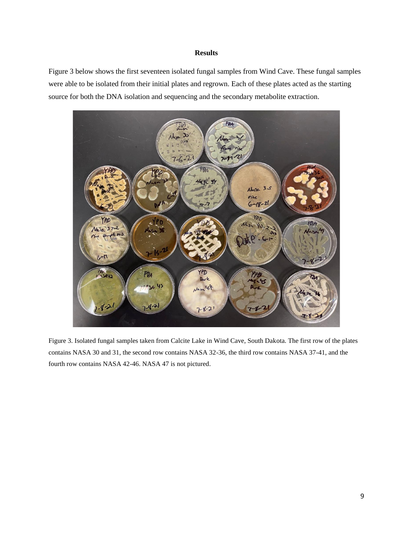### **Results**

Figure 3 below shows the first seventeen isolated fungal samples from Wind Cave. These fungal samples were able to be isolated from their initial plates and regrown. Each of these plates acted as the starting source for both the DNA isolation and sequencing and the secondary metabolite extraction.



Figure 3. Isolated fungal samples taken from Calcite Lake in Wind Cave, South Dakota. The first row of the plates contains NASA 30 and 31, the second row contains NASA 32-36, the third row contains NASA 37-41, and the fourth row contains NASA 42-46. NASA 47 is not pictured.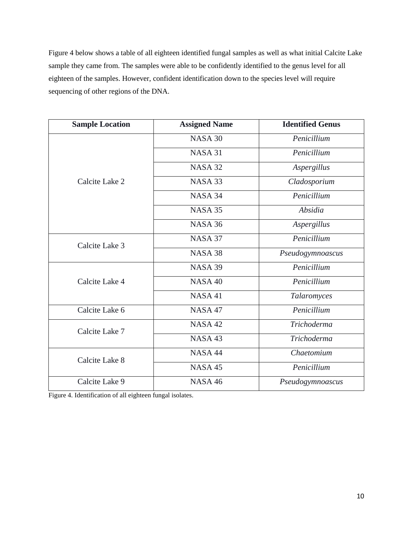Figure 4 below shows a table of all eighteen identified fungal samples as well as what initial Calcite Lake sample they came from. The samples were able to be confidently identified to the genus level for all eighteen of the samples. However, confident identification down to the species level will require sequencing of other regions of the DNA.

| <b>Sample Location</b> | <b>Assigned Name</b> | <b>Identified Genus</b> |
|------------------------|----------------------|-------------------------|
| Calcite Lake 2         | NASA 30              | Penicillium             |
|                        | NASA 31              | Penicillium             |
|                        | NASA 32              | Aspergillus             |
|                        | NASA 33              | Cladosporium            |
|                        | NASA 34              | Penicillium             |
|                        | NASA 35              | Absidia                 |
|                        | NASA 36              | Aspergillus             |
| Calcite Lake 3         | NASA 37              | Penicillium             |
|                        | NASA 38              | Pseudogymnoascus        |
| Calcite Lake 4         | <b>NASA 39</b>       | Penicillium             |
|                        | NASA 40              | Penicillium             |
|                        | <b>NASA 41</b>       | Talaromyces             |
| Calcite Lake 6         | NASA 47              | Penicillium             |
| Calcite Lake 7         | NASA 42              | <b>Trichoderma</b>      |
|                        | NASA 43              | <b>Trichoderma</b>      |
| Calcite Lake 8         | NASA 44              | Chaetomium              |
|                        | NASA 45              | Penicillium             |
| Calcite Lake 9         | <b>NASA 46</b>       | Pseudogymnoascus        |

Figure 4. Identification of all eighteen fungal isolates.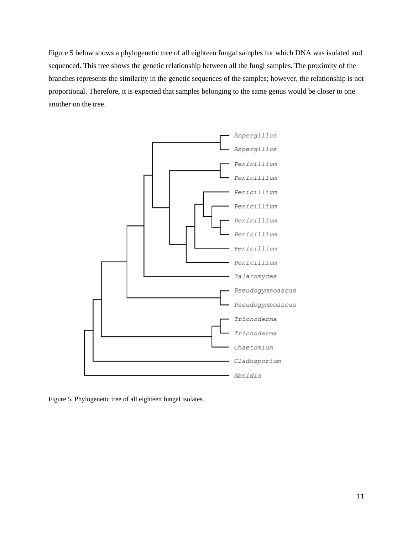Figure 5 below shows a phylogenetic tree of all eighteen fungal samples for which DNA was isolated and sequenced. This tree shows the genetic relationship between all the fungi samples. The proximity of the branches represents the similarity in the genetic sequences of the samples; however, the relationship is not proportional. Therefore, it is expected that samples belonging to the same genus would be closer to one another on the tree.



Figure 5. Phylogenetic tree of all eighteen fungal isolates.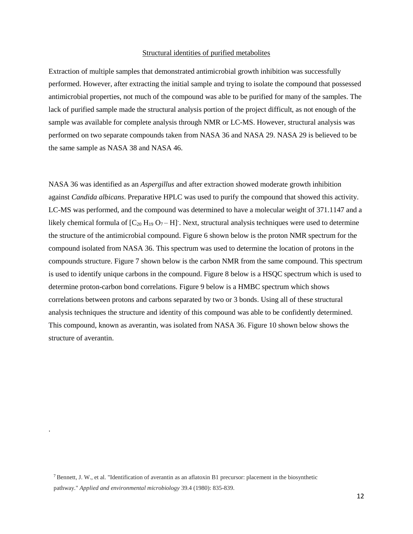#### Structural identities of purified metabolites

Extraction of multiple samples that demonstrated antimicrobial growth inhibition was successfully performed. However, after extracting the initial sample and trying to isolate the compound that possessed antimicrobial properties, not much of the compound was able to be purified for many of the samples. The lack of purified sample made the structural analysis portion of the project difficult, as not enough of the sample was available for complete analysis through NMR or LC-MS. However, structural analysis was performed on two separate compounds taken from NASA 36 and NASA 29. NASA 29 is believed to be the same sample as NASA 38 and NASA 46.

NASA 36 was identified as an *Aspergillus* and after extraction showed moderate growth inhibition against *Candida albicans*. Preparative HPLC was used to purify the compound that showed this activity. LC-MS was performed, and the compound was determined to have a molecular weight of 371.1147 and a likely chemical formula of  $[C_{20} H_{19} O_7 - H]$ . Next, structural analysis techniques were used to determine the structure of the antimicrobial compound. Figure 6 shown below is the proton NMR spectrum for the compound isolated from NASA 36. This spectrum was used to determine the location of protons in the compounds structure. Figure 7 shown below is the carbon NMR from the same compound. This spectrum is used to identify unique carbons in the compound. Figure 8 below is a HSQC spectrum which is used to determine proton-carbon bond correlations. Figure 9 below is a HMBC spectrum which shows correlations between protons and carbons separated by two or 3 bonds. Using all of these structural analysis techniques the structure and identity of this compound was able to be confidently determined. This compound, known as averantin, was isolated from NASA 36. Figure 10 shown below shows the structure of averantin.

.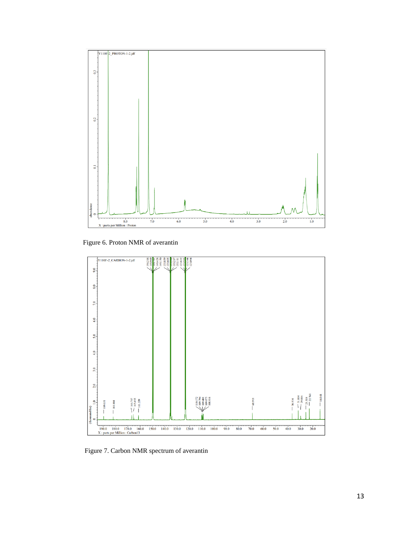

Figure 6. Proton NMR of averantin



Figure 7. Carbon NMR spectrum of averantin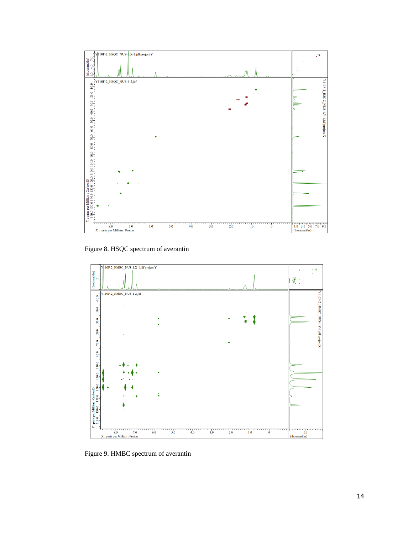

Figure 8. HSQC spectrum of averantin



Figure 9. HMBC spectrum of averantin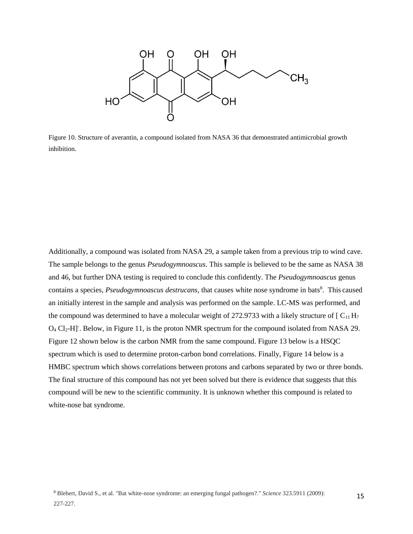

Figure 10. Structure of averantin, a compound isolated from NASA 36 that demonstrated antimicrobial growth inhibition.

Additionally, a compound was isolated from NASA 29, a sample taken from a previous trip to wind cave. The sample belongs to the genus *Pseudogymnoascus*. This sample is believed to be the same as NASA 38 and 46, but further DNA testing is required to conclude this confidently. The *Pseudogymnoascus* genus contains a species, *Pseudogymnoascus destrucans*, that causes white nose syndrome in bats<sup>8</sup>. This caused an initially interest in the sample and analysis was performed on the sample. LC-MS was performed, and the compound was determined to have a molecular weight of 272.9733 with a likely structure of  $\lceil C_{11} H_7 \rceil$ O<sub>4</sub> Cl<sub>2</sub>-H]<sup>-</sup>. Below, in Figure 11, is the proton NMR spectrum for the compound isolated from NASA 29. Figure 12 shown below is the carbon NMR from the same compound. Figure 13 below is a HSQC spectrum which is used to determine proton-carbon bond correlations. Finally, Figure 14 below is a HMBC spectrum which shows correlations between protons and carbons separated by two or three bonds. The final structure of this compound has not yet been solved but there is evidence that suggests that this compound will be new to the scientific community. It is unknown whether this compound is related to white-nose bat syndrome.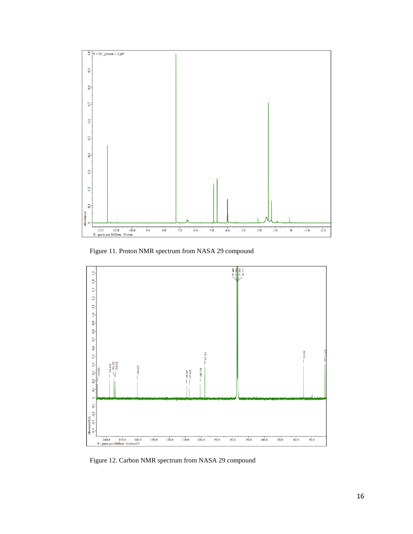

Figure 11. Proton NMR spectrum from NASA 29 compound



Figure 12. Carbon NMR spectrum from NASA 29 compound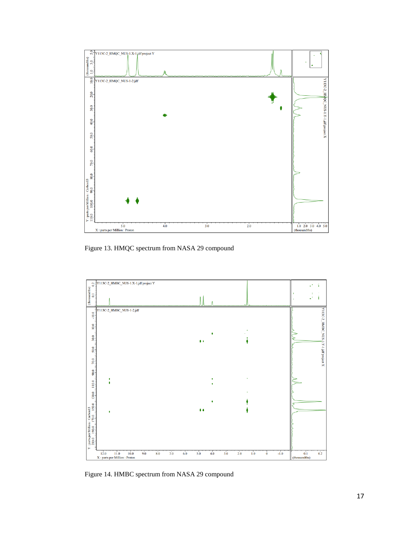

Figure 13. HMQC spectrum from NASA 29 compound



Figure 14. HMBC spectrum from NASA 29 compound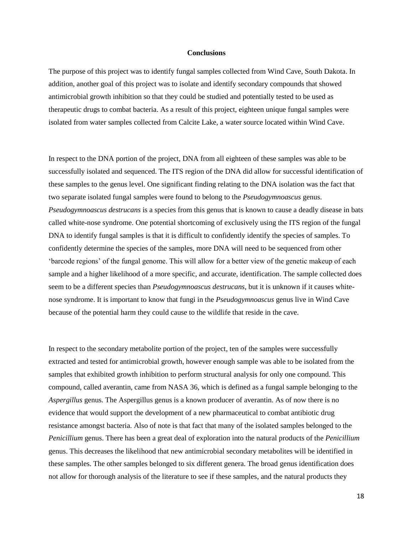#### **Conclusions**

The purpose of this project was to identify fungal samples collected from Wind Cave, South Dakota. In addition, another goal of this project was to isolate and identify secondary compounds that showed antimicrobial growth inhibition so that they could be studied and potentially tested to be used as therapeutic drugs to combat bacteria. As a result of this project, eighteen unique fungal samples were isolated from water samples collected from Calcite Lake, a water source located within Wind Cave.

In respect to the DNA portion of the project, DNA from all eighteen of these samples was able to be successfully isolated and sequenced. The ITS region of the DNA did allow for successful identification of these samples to the genus level. One significant finding relating to the DNA isolation was the fact that two separate isolated fungal samples were found to belong to the *Pseudogymnoascus* genus. *Pseudogymnoascus destrucans* is a species from this genus that is known to cause a deadly disease in bats called white-nose syndrome. One potential shortcoming of exclusively using the ITS region of the fungal DNA to identify fungal samples is that it is difficult to confidently identify the species of samples. To confidently determine the species of the samples, more DNA will need to be sequenced from other 'barcode regions' of the fungal genome. This will allow for a better view of the genetic makeup of each sample and a higher likelihood of a more specific, and accurate, identification. The sample collected does seem to be a different species than *Pseudogymnoascus destrucans,* but it is unknown if it causes whitenose syndrome. It is important to know that fungi in the *Pseudogymnoascus* genus live in Wind Cave because of the potential harm they could cause to the wildlife that reside in the cave.

In respect to the secondary metabolite portion of the project, ten of the samples were successfully extracted and tested for antimicrobial growth, however enough sample was able to be isolated from the samples that exhibited growth inhibition to perform structural analysis for only one compound. This compound, called averantin, came from NASA 36, which is defined as a fungal sample belonging to the *Aspergillus* genus. The Aspergillus genus is a known producer of averantin. As of now there is no evidence that would support the development of a new pharmaceutical to combat antibiotic drug resistance amongst bacteria. Also of note is that fact that many of the isolated samples belonged to the *Penicillium* genus. There has been a great deal of exploration into the natural products of the *Penicillium*  genus. This decreases the likelihood that new antimicrobial secondary metabolites will be identified in these samples. The other samples belonged to six different genera. The broad genus identification does not allow for thorough analysis of the literature to see if these samples, and the natural products they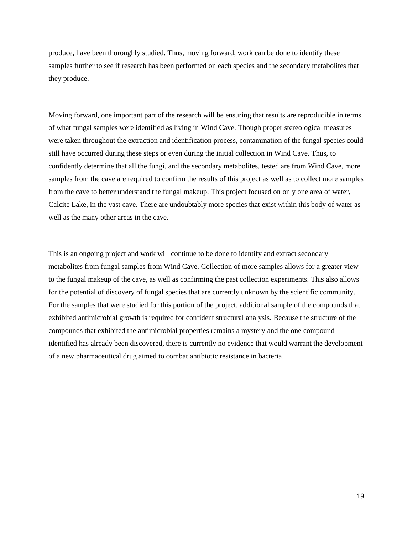produce, have been thoroughly studied. Thus, moving forward, work can be done to identify these samples further to see if research has been performed on each species and the secondary metabolites that they produce.

Moving forward, one important part of the research will be ensuring that results are reproducible in terms of what fungal samples were identified as living in Wind Cave. Though proper stereological measures were taken throughout the extraction and identification process, contamination of the fungal species could still have occurred during these steps or even during the initial collection in Wind Cave. Thus, to confidently determine that all the fungi, and the secondary metabolites, tested are from Wind Cave, more samples from the cave are required to confirm the results of this project as well as to collect more samples from the cave to better understand the fungal makeup. This project focused on only one area of water, Calcite Lake, in the vast cave. There are undoubtably more species that exist within this body of water as well as the many other areas in the cave.

This is an ongoing project and work will continue to be done to identify and extract secondary metabolites from fungal samples from Wind Cave. Collection of more samples allows for a greater view to the fungal makeup of the cave, as well as confirming the past collection experiments. This also allows for the potential of discovery of fungal species that are currently unknown by the scientific community. For the samples that were studied for this portion of the project, additional sample of the compounds that exhibited antimicrobial growth is required for confident structural analysis. Because the structure of the compounds that exhibited the antimicrobial properties remains a mystery and the one compound identified has already been discovered, there is currently no evidence that would warrant the development of a new pharmaceutical drug aimed to combat antibiotic resistance in bacteria.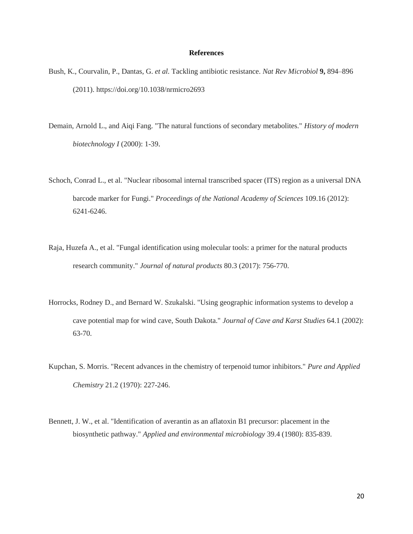#### **References**

- Bush, K., Courvalin, P., Dantas, G. *et al.* Tackling antibiotic resistance. *Nat Rev Microbiol* **9,** 894–896 (2011). https://doi.org/10.1038/nrmicro2693
- Demain, Arnold L., and Aiqi Fang. "The natural functions of secondary metabolites." *History of modern biotechnology I* (2000): 1-39.
- Schoch, Conrad L., et al. "Nuclear ribosomal internal transcribed spacer (ITS) region as a universal DNA barcode marker for Fungi." *Proceedings of the National Academy of Sciences* 109.16 (2012): 6241-6246.
- Raja, Huzefa A., et al. "Fungal identification using molecular tools: a primer for the natural products research community." *Journal of natural products* 80.3 (2017): 756-770.
- Horrocks, Rodney D., and Bernard W. Szukalski. "Using geographic information systems to develop a cave potential map for wind cave, South Dakota." *Journal of Cave and Karst Studies* 64.1 (2002): 63-70.
- Kupchan, S. Morris. "Recent advances in the chemistry of terpenoid tumor inhibitors." *Pure and Applied Chemistry* 21.2 (1970): 227-246.
- Bennett, J. W., et al. "Identification of averantin as an aflatoxin B1 precursor: placement in the biosynthetic pathway." *Applied and environmental microbiology* 39.4 (1980): 835-839.